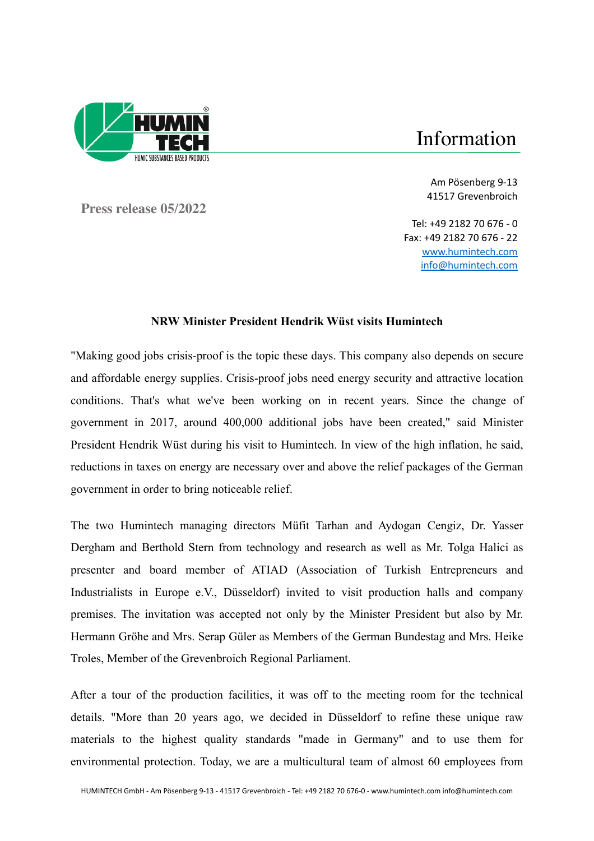## Information



Am Pösenberg 9-13 41517 Grevenbroich

**Press release 05/2022**

Tel: +49 2182 70 676 - 0 Fax: +49 2182 70 676 - 22 [www.humintech.com](http://www.humintech.com/) [info@humintech.com](mailto:info@humintech.com)

## **NRW Minister President Hendrik Wüst visits Humintech**

"Making good jobs crisis-proof is the topic these days. This company also depends on secure and affordable energy supplies. Crisis-proof jobs need energy security and attractive location conditions. That's what we've been working on in recent years. Since the change of government in 2017, around 400,000 additional jobs have been created," said Minister President Hendrik Wüst during his visit to Humintech. In view of the high inflation, he said, reductions in taxes on energy are necessary over and above the relief packages of the German government in order to bring noticeable relief.

The two Humintech managing directors Müfit Tarhan and Aydogan Cengiz, Dr. Yasser Dergham and Berthold Stern from technology and research as well as Mr. Tolga Halici as presenter and board member of ATIAD (Association of Turkish Entrepreneurs and Industrialists in Europe e.V., Düsseldorf) invited to visit production halls and company premises. The invitation was accepted not only by the Minister President but also by Mr. Hermann Gröhe and Mrs. Serap Güler as Members of the German Bundestag and Mrs. Heike Troles, Member of the Grevenbroich Regional Parliament.

After a tour of the production facilities, it was off to the meeting room for the technical details. "More than 20 years ago, we decided in Düsseldorf to refine these unique raw materials to the highest quality standards "made in Germany" and to use them for environmental protection. Today, we are a multicultural team of almost 60 employees from